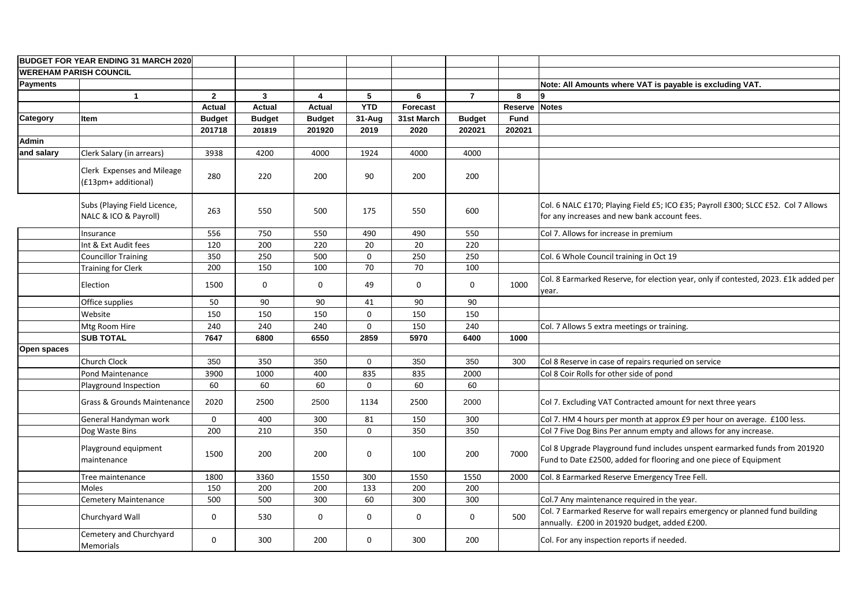| <b>BUDGET FOR YEAR ENDING 31 MARCH 2020</b> |                                                       |               |               |               |                 |                 |                |                |                                                                                                                                                 |
|---------------------------------------------|-------------------------------------------------------|---------------|---------------|---------------|-----------------|-----------------|----------------|----------------|-------------------------------------------------------------------------------------------------------------------------------------------------|
| <b>WEREHAM PARISH COUNCIL</b>               |                                                       |               |               |               |                 |                 |                |                |                                                                                                                                                 |
| <b>Payments</b>                             |                                                       |               |               |               |                 |                 |                |                | Note: All Amounts where VAT is payable is excluding VAT.                                                                                        |
|                                             |                                                       | $2^{\circ}$   | $\mathbf{3}$  | 4             | $5\overline{)}$ | 6               | $\overline{7}$ | 8              |                                                                                                                                                 |
|                                             |                                                       | <b>Actual</b> | <b>Actual</b> | <b>Actual</b> | <b>YTD</b>      | <b>Forecast</b> |                | <b>Reserve</b> | <b>Notes</b>                                                                                                                                    |
| <b>Category</b>                             | <b>Item</b>                                           | <b>Budget</b> | <b>Budget</b> | <b>Budget</b> | 31-Aug          | 31st March      | <b>Budget</b>  | <b>Fund</b>    |                                                                                                                                                 |
|                                             |                                                       | 201718        | 201819        | 201920        | 2019            | 2020            | 202021         | 202021         |                                                                                                                                                 |
| <b>Admin</b>                                |                                                       |               |               |               |                 |                 |                |                |                                                                                                                                                 |
| and salary                                  | Clerk Salary (in arrears)                             | 3938          | 4200          | 4000          | 1924            | 4000            | 4000           |                |                                                                                                                                                 |
|                                             | Clerk Expenses and Mileage<br>(£13pm+ additional)     | 280           | 220           | 200           | 90              | 200             | 200            |                |                                                                                                                                                 |
|                                             | Subs (Playing Field Licence,<br>NALC & ICO & Payroll) | 263           | 550           | 500           | 175             | 550             | 600            |                | Col. 6 NALC £170; Playing Field £5; ICO £35; Payroll £300; SLCC £52. Col 7 Allows<br>for any increases and new bank account fees.               |
|                                             | Insurance                                             | 556           | 750           | 550           | 490             | 490             | 550            |                | Col 7. Allows for increase in premium                                                                                                           |
|                                             | Int & Ext Audit fees                                  | 120           | 200           | 220           | 20              | 20              | 220            |                |                                                                                                                                                 |
|                                             | <b>Councillor Training</b>                            | 350           | 250           | 500           | $\mathbf 0$     | 250             | 250            |                | Col. 6 Whole Council training in Oct 19                                                                                                         |
|                                             | <b>Training for Clerk</b>                             | 200           | 150           | 100           | 70              | 70              | 100            |                |                                                                                                                                                 |
|                                             | Election                                              | 1500          | 0             | $\mathbf 0$   | 49              | $\mathbf 0$     | 0              | 1000           | Col. 8 Earmarked Reserve, for election year, only if contested, 2023. £1k added per<br>year.                                                    |
|                                             | Office supplies                                       | 50            | 90            | 90            | 41              | 90              | 90             |                |                                                                                                                                                 |
|                                             | Website                                               | 150           | 150           | 150           | $\mathbf 0$     | 150             | 150            |                |                                                                                                                                                 |
|                                             | Mtg Room Hire                                         | 240           | 240           | 240           | $\Omega$        | 150             | 240            |                | Col. 7 Allows 5 extra meetings or training.                                                                                                     |
|                                             | <b>SUB TOTAL</b>                                      | 7647          | 6800          | 6550          | 2859            | 5970            | 6400           | 1000           |                                                                                                                                                 |
| Open spaces                                 |                                                       |               |               |               |                 |                 |                |                |                                                                                                                                                 |
|                                             | <b>Church Clock</b>                                   | 350           | 350           | 350           | $\Omega$        | 350             | 350            | 300            | Col 8 Reserve in case of repairs requried on service                                                                                            |
|                                             | Pond Maintenance                                      | 3900          | 1000          | 400           | 835             | 835             | 2000           |                | Col 8 Coir Rolls for other side of pond                                                                                                         |
|                                             | Playground Inspection                                 | 60            | 60            | 60            | $\mathbf 0$     | 60              | 60             |                |                                                                                                                                                 |
|                                             | Grass & Grounds Maintenance                           | 2020          | 2500          | 2500          | 1134            | 2500            | 2000           |                | Col 7. Excluding VAT Contracted amount for next three years                                                                                     |
|                                             | General Handyman work                                 | $\mathbf 0$   | 400           | 300           | 81              | 150             | 300            |                | Col 7. HM 4 hours per month at approx £9 per hour on average. £100 less.                                                                        |
|                                             | Dog Waste Bins                                        | 200           | 210           | 350           | $\mathbf 0$     | 350             | 350            |                | Col 7 Five Dog Bins Per annum empty and allows for any increase.                                                                                |
|                                             | Playground equipment<br>maintenance                   | 1500          | 200           | 200           | $\mathbf 0$     | 100             | 200            | 7000           | Col 8 Upgrade Playground fund includes unspent earmarked funds from 201920<br>Fund to Date £2500, added for flooring and one piece of Equipment |
|                                             | Tree maintenance                                      | 1800          | 3360          | 1550          | 300             | 1550            | 1550           | 2000           | Col. 8 Earmarked Reserve Emergency Tree Fell.                                                                                                   |
|                                             | Moles                                                 | 150           | 200           | 200           | 133             | 200             | 200            |                |                                                                                                                                                 |
|                                             | <b>Cemetery Maintenance</b>                           | 500           | 500           | 300           | 60              | 300             | 300            |                | Col.7 Any maintenance required in the year.                                                                                                     |
|                                             | Churchyard Wall                                       | $\mathbf 0$   | 530           | $\mathbf 0$   | $\mathbf 0$     | $\mathbf 0$     | 0              | 500            | Col. 7 Earmarked Reserve for wall repairs emergency or planned fund building<br>annually. £200 in 201920 budget, added £200.                    |
|                                             | Cemetery and Churchyard<br>Memorials                  | $\mathbf 0$   | 300           | 200           | $\mathbf 0$     | 300             | 200            |                | Col. For any inspection reports if needed.                                                                                                      |